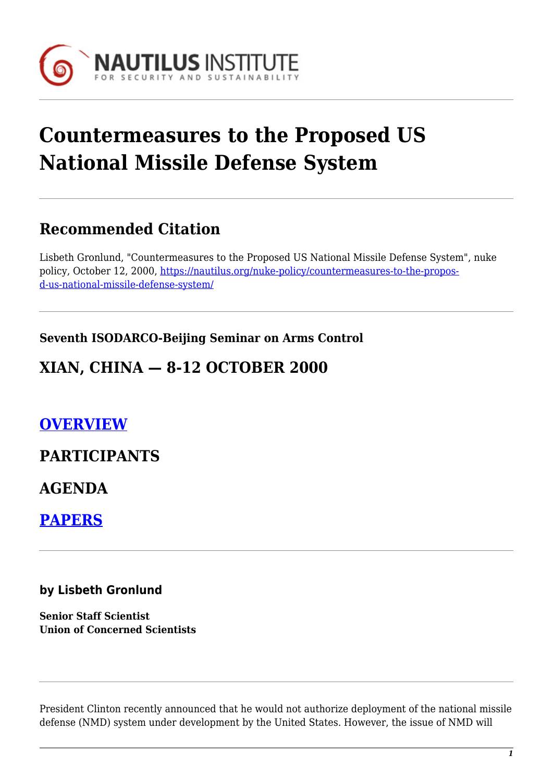

# **Countermeasures to the Proposed US National Missile Defense System**

## **Recommended Citation**

Lisbeth Gronlund, "Countermeasures to the Proposed US National Missile Defense System", nuke policy, October 12, 2000, [https://nautilus.org/nuke-policy/countermeasures-to-the-propos](https://nautilus.org/nuke-policy/countermeasures-to-the-proposed-us-national-missile-defense-system/)[d-us-national-missile-defense-system/](https://nautilus.org/nuke-policy/countermeasures-to-the-proposed-us-national-missile-defense-system/)

#### **Seventh ISODARCO-Beijing Seminar on Arms Control**

## **XIAN, CHINA — 8-12 OCTOBER 2000**

## **[OVERVIEW](https://nautilus.org/?page_id=44711&preview=true)**

#### **PARTICIPANTS**

**AGENDA**

**[PAPERS](https://nautilus.org/?page_id=44752&preview=true)**

#### **by Lisbeth Gronlund**

**Senior Staff Scientist Union of Concerned Scientists**

President Clinton recently announced that he would not authorize deployment of the national missile defense (NMD) system under development by the United States. However, the issue of NMD will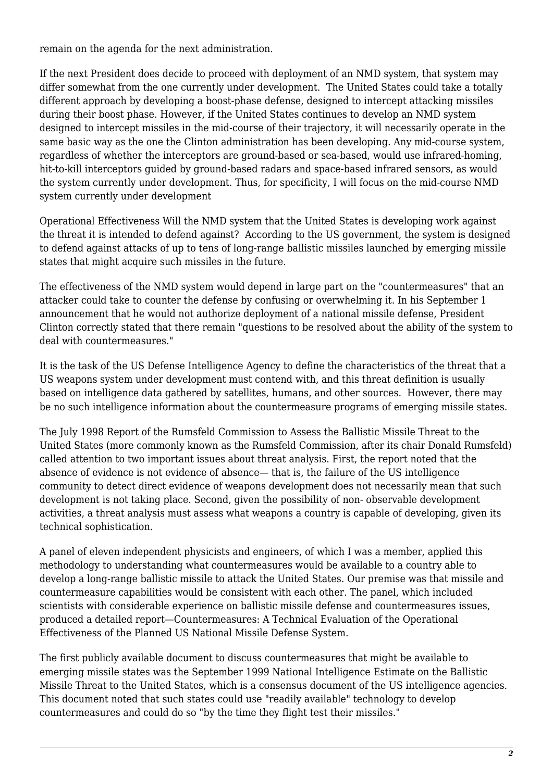remain on the agenda for the next administration.

If the next President does decide to proceed with deployment of an NMD system, that system may differ somewhat from the one currently under development. The United States could take a totally different approach by developing a boost-phase defense, designed to intercept attacking missiles during their boost phase. However, if the United States continues to develop an NMD system designed to intercept missiles in the mid-course of their trajectory, it will necessarily operate in the same basic way as the one the Clinton administration has been developing. Any mid-course system, regardless of whether the interceptors are ground-based or sea-based, would use infrared-homing, hit-to-kill interceptors guided by ground-based radars and space-based infrared sensors, as would the system currently under development. Thus, for specificity, I will focus on the mid-course NMD system currently under development

Operational Effectiveness Will the NMD system that the United States is developing work against the threat it is intended to defend against? According to the US government, the system is designed to defend against attacks of up to tens of long-range ballistic missiles launched by emerging missile states that might acquire such missiles in the future.

The effectiveness of the NMD system would depend in large part on the "countermeasures" that an attacker could take to counter the defense by confusing or overwhelming it. In his September 1 announcement that he would not authorize deployment of a national missile defense, President Clinton correctly stated that there remain "questions to be resolved about the ability of the system to deal with countermeasures."

It is the task of the US Defense Intelligence Agency to define the characteristics of the threat that a US weapons system under development must contend with, and this threat definition is usually based on intelligence data gathered by satellites, humans, and other sources. However, there may be no such intelligence information about the countermeasure programs of emerging missile states.

The July 1998 Report of the Rumsfeld Commission to Assess the Ballistic Missile Threat to the United States (more commonly known as the Rumsfeld Commission, after its chair Donald Rumsfeld) called attention to two important issues about threat analysis. First, the report noted that the absence of evidence is not evidence of absence— that is, the failure of the US intelligence community to detect direct evidence of weapons development does not necessarily mean that such development is not taking place. Second, given the possibility of non- observable development activities, a threat analysis must assess what weapons a country is capable of developing, given its technical sophistication.

A panel of eleven independent physicists and engineers, of which I was a member, applied this methodology to understanding what countermeasures would be available to a country able to develop a long-range ballistic missile to attack the United States. Our premise was that missile and countermeasure capabilities would be consistent with each other. The panel, which included scientists with considerable experience on ballistic missile defense and countermeasures issues, produced a detailed report—Countermeasures: A Technical Evaluation of the Operational Effectiveness of the Planned US National Missile Defense System.

The first publicly available document to discuss countermeasures that might be available to emerging missile states was the September 1999 National Intelligence Estimate on the Ballistic Missile Threat to the United States, which is a consensus document of the US intelligence agencies. This document noted that such states could use "readily available" technology to develop countermeasures and could do so "by the time they flight test their missiles."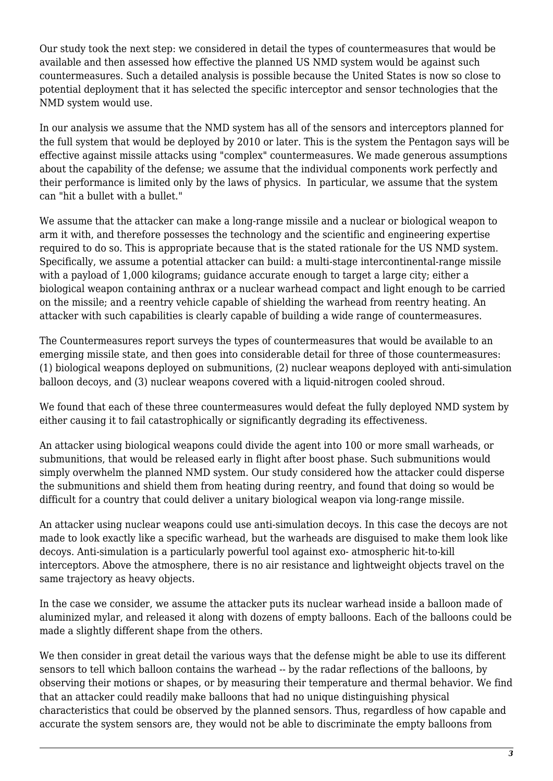Our study took the next step: we considered in detail the types of countermeasures that would be available and then assessed how effective the planned US NMD system would be against such countermeasures. Such a detailed analysis is possible because the United States is now so close to potential deployment that it has selected the specific interceptor and sensor technologies that the NMD system would use.

In our analysis we assume that the NMD system has all of the sensors and interceptors planned for the full system that would be deployed by 2010 or later. This is the system the Pentagon says will be effective against missile attacks using "complex" countermeasures. We made generous assumptions about the capability of the defense; we assume that the individual components work perfectly and their performance is limited only by the laws of physics. In particular, we assume that the system can "hit a bullet with a bullet."

We assume that the attacker can make a long-range missile and a nuclear or biological weapon to arm it with, and therefore possesses the technology and the scientific and engineering expertise required to do so. This is appropriate because that is the stated rationale for the US NMD system. Specifically, we assume a potential attacker can build: a multi-stage intercontinental-range missile with a payload of 1,000 kilograms; guidance accurate enough to target a large city; either a biological weapon containing anthrax or a nuclear warhead compact and light enough to be carried on the missile; and a reentry vehicle capable of shielding the warhead from reentry heating. An attacker with such capabilities is clearly capable of building a wide range of countermeasures.

The Countermeasures report surveys the types of countermeasures that would be available to an emerging missile state, and then goes into considerable detail for three of those countermeasures: (1) biological weapons deployed on submunitions, (2) nuclear weapons deployed with anti-simulation balloon decoys, and (3) nuclear weapons covered with a liquid-nitrogen cooled shroud.

We found that each of these three countermeasures would defeat the fully deployed NMD system by either causing it to fail catastrophically or significantly degrading its effectiveness.

An attacker using biological weapons could divide the agent into 100 or more small warheads, or submunitions, that would be released early in flight after boost phase. Such submunitions would simply overwhelm the planned NMD system. Our study considered how the attacker could disperse the submunitions and shield them from heating during reentry, and found that doing so would be difficult for a country that could deliver a unitary biological weapon via long-range missile.

An attacker using nuclear weapons could use anti-simulation decoys. In this case the decoys are not made to look exactly like a specific warhead, but the warheads are disguised to make them look like decoys. Anti-simulation is a particularly powerful tool against exo- atmospheric hit-to-kill interceptors. Above the atmosphere, there is no air resistance and lightweight objects travel on the same trajectory as heavy objects.

In the case we consider, we assume the attacker puts its nuclear warhead inside a balloon made of aluminized mylar, and released it along with dozens of empty balloons. Each of the balloons could be made a slightly different shape from the others.

We then consider in great detail the various ways that the defense might be able to use its different sensors to tell which balloon contains the warhead -- by the radar reflections of the balloons, by observing their motions or shapes, or by measuring their temperature and thermal behavior. We find that an attacker could readily make balloons that had no unique distinguishing physical characteristics that could be observed by the planned sensors. Thus, regardless of how capable and accurate the system sensors are, they would not be able to discriminate the empty balloons from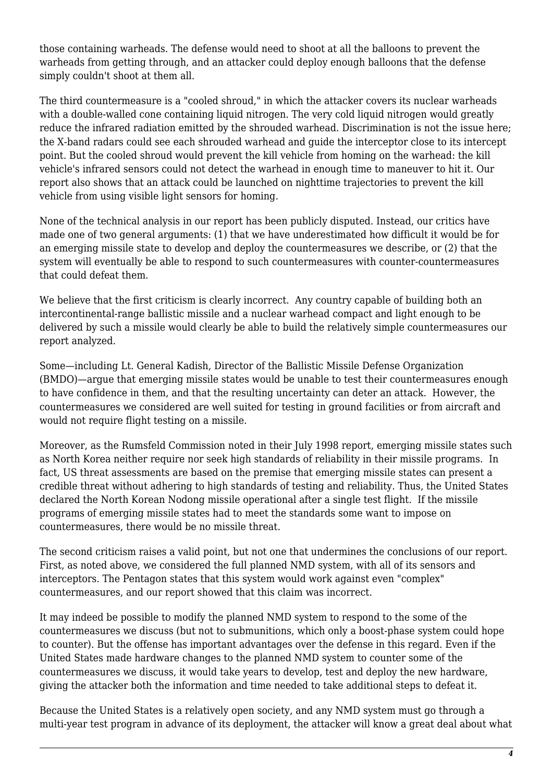those containing warheads. The defense would need to shoot at all the balloons to prevent the warheads from getting through, and an attacker could deploy enough balloons that the defense simply couldn't shoot at them all.

The third countermeasure is a "cooled shroud," in which the attacker covers its nuclear warheads with a double-walled cone containing liquid nitrogen. The very cold liquid nitrogen would greatly reduce the infrared radiation emitted by the shrouded warhead. Discrimination is not the issue here; the X-band radars could see each shrouded warhead and guide the interceptor close to its intercept point. But the cooled shroud would prevent the kill vehicle from homing on the warhead: the kill vehicle's infrared sensors could not detect the warhead in enough time to maneuver to hit it. Our report also shows that an attack could be launched on nighttime trajectories to prevent the kill vehicle from using visible light sensors for homing.

None of the technical analysis in our report has been publicly disputed. Instead, our critics have made one of two general arguments: (1) that we have underestimated how difficult it would be for an emerging missile state to develop and deploy the countermeasures we describe, or (2) that the system will eventually be able to respond to such countermeasures with counter-countermeasures that could defeat them.

We believe that the first criticism is clearly incorrect. Any country capable of building both an intercontinental-range ballistic missile and a nuclear warhead compact and light enough to be delivered by such a missile would clearly be able to build the relatively simple countermeasures our report analyzed.

Some—including Lt. General Kadish, Director of the Ballistic Missile Defense Organization (BMDO)—argue that emerging missile states would be unable to test their countermeasures enough to have confidence in them, and that the resulting uncertainty can deter an attack. However, the countermeasures we considered are well suited for testing in ground facilities or from aircraft and would not require flight testing on a missile.

Moreover, as the Rumsfeld Commission noted in their July 1998 report, emerging missile states such as North Korea neither require nor seek high standards of reliability in their missile programs. In fact, US threat assessments are based on the premise that emerging missile states can present a credible threat without adhering to high standards of testing and reliability. Thus, the United States declared the North Korean Nodong missile operational after a single test flight. If the missile programs of emerging missile states had to meet the standards some want to impose on countermeasures, there would be no missile threat.

The second criticism raises a valid point, but not one that undermines the conclusions of our report. First, as noted above, we considered the full planned NMD system, with all of its sensors and interceptors. The Pentagon states that this system would work against even "complex" countermeasures, and our report showed that this claim was incorrect.

It may indeed be possible to modify the planned NMD system to respond to the some of the countermeasures we discuss (but not to submunitions, which only a boost-phase system could hope to counter). But the offense has important advantages over the defense in this regard. Even if the United States made hardware changes to the planned NMD system to counter some of the countermeasures we discuss, it would take years to develop, test and deploy the new hardware, giving the attacker both the information and time needed to take additional steps to defeat it.

Because the United States is a relatively open society, and any NMD system must go through a multi-year test program in advance of its deployment, the attacker will know a great deal about what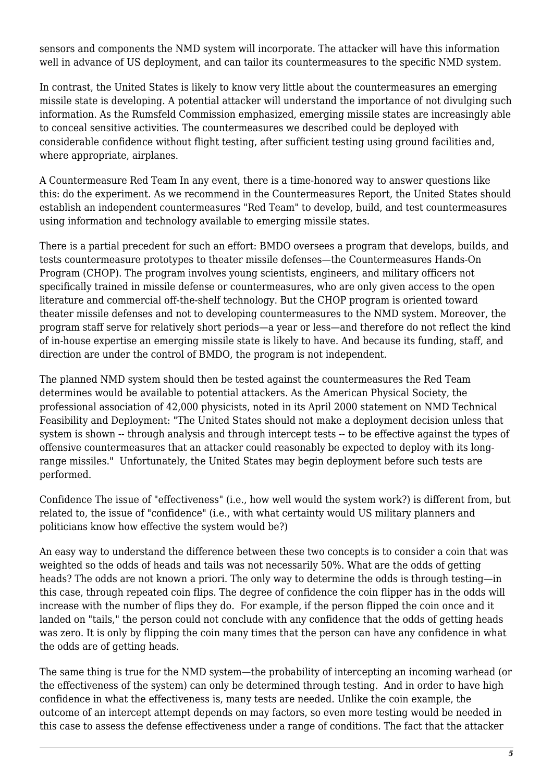sensors and components the NMD system will incorporate. The attacker will have this information well in advance of US deployment, and can tailor its countermeasures to the specific NMD system.

In contrast, the United States is likely to know very little about the countermeasures an emerging missile state is developing. A potential attacker will understand the importance of not divulging such information. As the Rumsfeld Commission emphasized, emerging missile states are increasingly able to conceal sensitive activities. The countermeasures we described could be deployed with considerable confidence without flight testing, after sufficient testing using ground facilities and, where appropriate, airplanes.

A Countermeasure Red Team In any event, there is a time-honored way to answer questions like this: do the experiment. As we recommend in the Countermeasures Report, the United States should establish an independent countermeasures "Red Team" to develop, build, and test countermeasures using information and technology available to emerging missile states.

There is a partial precedent for such an effort: BMDO oversees a program that develops, builds, and tests countermeasure prototypes to theater missile defenses—the Countermeasures Hands-On Program (CHOP). The program involves young scientists, engineers, and military officers not specifically trained in missile defense or countermeasures, who are only given access to the open literature and commercial off-the-shelf technology. But the CHOP program is oriented toward theater missile defenses and not to developing countermeasures to the NMD system. Moreover, the program staff serve for relatively short periods—a year or less—and therefore do not reflect the kind of in-house expertise an emerging missile state is likely to have. And because its funding, staff, and direction are under the control of BMDO, the program is not independent.

The planned NMD system should then be tested against the countermeasures the Red Team determines would be available to potential attackers. As the American Physical Society, the professional association of 42,000 physicists, noted in its April 2000 statement on NMD Technical Feasibility and Deployment: "The United States should not make a deployment decision unless that system is shown -- through analysis and through intercept tests -- to be effective against the types of offensive countermeasures that an attacker could reasonably be expected to deploy with its longrange missiles." Unfortunately, the United States may begin deployment before such tests are performed.

Confidence The issue of "effectiveness" (i.e., how well would the system work?) is different from, but related to, the issue of "confidence" (i.e., with what certainty would US military planners and politicians know how effective the system would be?)

An easy way to understand the difference between these two concepts is to consider a coin that was weighted so the odds of heads and tails was not necessarily 50%. What are the odds of getting heads? The odds are not known a priori. The only way to determine the odds is through testing—in this case, through repeated coin flips. The degree of confidence the coin flipper has in the odds will increase with the number of flips they do. For example, if the person flipped the coin once and it landed on "tails," the person could not conclude with any confidence that the odds of getting heads was zero. It is only by flipping the coin many times that the person can have any confidence in what the odds are of getting heads.

The same thing is true for the NMD system—the probability of intercepting an incoming warhead (or the effectiveness of the system) can only be determined through testing. And in order to have high confidence in what the effectiveness is, many tests are needed. Unlike the coin example, the outcome of an intercept attempt depends on may factors, so even more testing would be needed in this case to assess the defense effectiveness under a range of conditions. The fact that the attacker